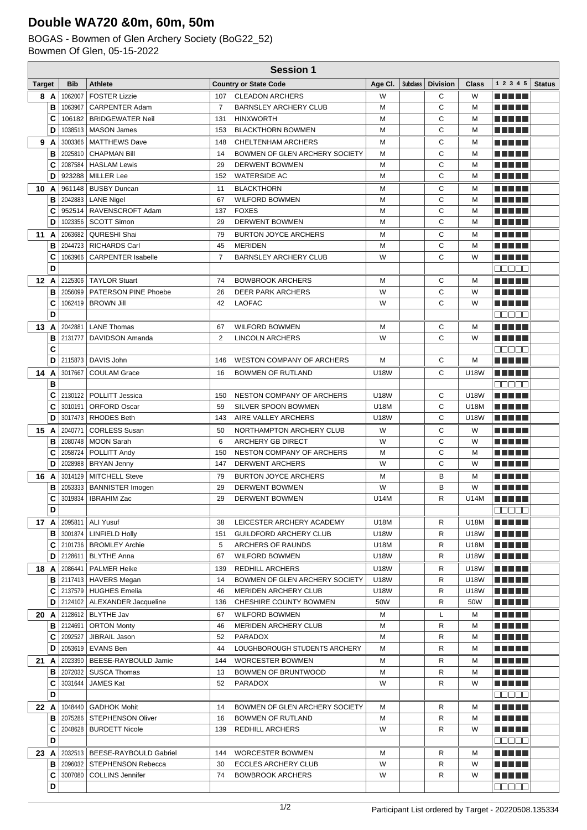## **Double WA720 &0m, 60m, 50m**

BOGAS - Bowmen of Glen Archery Society (BoG22\_52) Bowmen Of Glen, 05-15-2022

|                | <b>Session 1</b> |            |                                                      |                |                                                    |                     |                 |                 |              |                                       |               |
|----------------|------------------|------------|------------------------------------------------------|----------------|----------------------------------------------------|---------------------|-----------------|-----------------|--------------|---------------------------------------|---------------|
| <b>Target</b>  |                  | <b>Bib</b> | <b>Athlete</b>                                       |                | <b>Country or State Code</b>                       | Age Cl.             | <b>Subclass</b> | <b>Division</b> | <b>Class</b> | 1 2 3 4 5                             | <b>Status</b> |
|                | 8 A              | 1062007    | <b>FOSTER Lizzie</b>                                 | 107            | <b>CLEADON ARCHERS</b>                             | W                   |                 | С               | W            | EU TEL                                |               |
|                | в                | 1063967    | <b>CARPENTER Adam</b>                                | $\overline{7}$ | <b>BARNSLEY ARCHERY CLUB</b>                       | M                   |                 | C               | M            | n di Titolo                           |               |
|                | C                | 106182     | <b>BRIDGEWATER Neil</b>                              | 131            | <b>HINXWORTH</b>                                   | M                   |                 | C               | м            | ma matsa                              |               |
|                | D                | 1038513    | <b>MASON James</b>                                   | 153            | <b>BLACKTHORN BOWMEN</b>                           | M                   |                 | C               | м            | n di Titolo                           |               |
|                | 9 A              | 3003366    | <b>MATTHEWS Dave</b>                                 | 148            | CHELTENHAM ARCHERS                                 | M                   |                 | С               | м            | ma matsa                              |               |
|                | в                | 2025810    | <b>CHAPMAN Bill</b>                                  | 14             | BOWMEN OF GLEN ARCHERY SOCIETY                     | M                   |                 | C               | м            | MA MPL                                |               |
|                | C                | 2087584    | <b>HASLAM Lewis</b>                                  | 29             | <b>DERWENT BOWMEN</b>                              | M                   |                 | C               | M            | MA MBO                                |               |
|                | D                | 923288     | <b>MILLER Lee</b>                                    | 152            | <b>WATERSIDE AC</b>                                | M                   |                 | C               | м            | ma matsa                              |               |
| 10 A           |                  | 961148     | <b>BUSBY Duncan</b>                                  | 11             | <b>BLACKTHORN</b>                                  | м                   |                 | С               | м            |                                       |               |
|                | в                | 2042883    | <b>LANE Nigel</b>                                    | 67             | <b>WILFORD BOWMEN</b>                              | M                   |                 | C               | M            | ma matsa                              |               |
|                | C                |            | 952514   RAVENSCROFT Adam                            | 137            | <b>FOXES</b>                                       | M                   |                 | C               | M            |                                       |               |
|                | D                | 1023356    | <b>SCOTT Simon</b>                                   | 29             | <b>DERWENT BOWMEN</b>                              | M                   |                 | C               | M            | mini pia                              |               |
| 11             | A                | 2063682    | <b>QURESHI Shai</b>                                  | 79             | <b>BURTON JOYCE ARCHERS</b>                        | M                   |                 | С               | M            | ma matsa                              |               |
|                | в                | 2044723    | <b>RICHARDS Carl</b>                                 | 45             | <b>MERIDEN</b>                                     | M                   |                 | C               | M            | T A H J L                             |               |
|                | C<br>D           | 1063966    | <b>CARPENTER Isabelle</b>                            | 7              | <b>BARNSLEY ARCHERY CLUB</b>                       | W                   |                 | C               | W            | ma matsa<br>88888                     |               |
|                |                  |            | 12 A 2125306 TAYLOR Stuart                           |                | <b>BOWBROOK ARCHERS</b>                            |                     |                 |                 |              |                                       |               |
|                | в                | 2056099    | <b>PATERSON PINE Phoebe</b>                          | 74<br>26       | <b>DEER PARK ARCHERS</b>                           | м<br>W              |                 | С<br>C          | м<br>W       | n di Titolo<br>ma matsa               |               |
|                | C                | 1062419    | <b>BROWN Jill</b>                                    | 42             | <b>LAOFAC</b>                                      | W                   |                 | C               | W            | n di Titolo                           |               |
|                | D                |            |                                                      |                |                                                    |                     |                 |                 |              | 88888                                 |               |
| 13             | Α                | 2042881    | <b>LANE Thomas</b>                                   | 67             | <b>WILFORD BOWMEN</b>                              | M                   |                 | С               | м            | n di Titolo                           |               |
|                | В                | 2131777    | <b>DAVIDSON Amanda</b>                               | $\overline{2}$ | <b>LINCOLN ARCHERS</b>                             | W                   |                 | C               | W            | n din bir                             |               |
|                | C                |            |                                                      |                |                                                    |                     |                 |                 |              | a a a a a                             |               |
|                | D                | 2115873    | DAVIS John                                           | 146            | <b>WESTON COMPANY OF ARCHERS</b>                   | M                   |                 | С               | М            | n di Titolo                           |               |
| 14             | A                | 3017667    | <b>COULAM Grace</b>                                  | 16             | BOWMEN OF RUTLAND                                  | <b>U18W</b>         |                 | С               | U18W         | n din bir                             |               |
|                | в                |            |                                                      |                |                                                    |                     |                 |                 |              | 88888                                 |               |
|                | C                | 2130122    | POLLITT Jessica                                      | 150            | <b>NESTON COMPANY OF ARCHERS</b>                   | <b>U18W</b>         |                 | C               | <b>U18W</b>  | MA MBO                                |               |
|                | C                | 3010191    | <b>ORFORD Oscar</b>                                  | 59             | SILVER SPOON BOWMEN                                | U18M                |                 | C               | U18M         |                                       |               |
|                | D                |            | 3017473   RHODES Beth                                | 143            | AIRE VALLEY ARCHERS                                | <b>U18W</b>         |                 | C               | U18W         | ma matsa                              |               |
| 15             | A                | 2040771    | <b>CORLESS Susan</b>                                 | 50             | NORTHAMPTON ARCHERY CLUB                           | W                   |                 | С               | W            | Martin Ball                           |               |
|                | в                | 2080748    | <b>MOON Sarah</b>                                    | 6              | ARCHERY GB DIRECT                                  | W                   |                 | C               | W            |                                       |               |
|                | C                | 2058724    | POLLITT Andy                                         | 150            | NESTON COMPANY OF ARCHERS                          | M                   |                 | C               | M            | N N N N N                             |               |
|                | D                |            | 2028988   BRYAN Jenny                                | 147            | <b>DERWENT ARCHERS</b>                             | W                   |                 | C               | W            | n di Titolo                           |               |
| 16 A           |                  | 3014129    | MITCHELL Steve                                       | 79             | <b>BURTON JOYCE ARCHERS</b>                        | м                   |                 | В               | М            | n Ali Vie                             |               |
|                | в                |            | 2053333   BANNISTER Imogen                           | 29             | <b>DERWENT BOWMEN</b>                              | W                   |                 | B               | W            | MA MBO                                |               |
|                | C                | 3019834    | <b>IBRAHIM Zac</b>                                   | 29             | <b>DERWENT BOWMEN</b>                              | <b>U14M</b>         |                 | R               | <b>U14M</b>  | <b>THE REAL</b>                       |               |
|                | D                |            |                                                      |                |                                                    |                     |                 |                 |              | <b>00000</b>                          |               |
|                |                  |            | <b>17 A 2095811   ALI Yusuf</b>                      | 38             | LEICESTER ARCHERY ACADEMY                          | U18M                |                 | R               | U18M         | <u> El Bertin</u>                     |               |
|                | в<br>С           |            | 3001874   LINFIELD Holly<br>2101736   BROMLEY Archie | 151<br>5       | <b>GUILDFORD ARCHERY CLUB</b><br>ARCHERS OF RAUNDS | <b>U18W</b><br>U18M |                 | R               | U18W<br>U18M | n na m                                |               |
|                | D                |            | 2128611   BLYTHE Anna                                | 67             | <b>WILFORD BOWMEN</b>                              | U18W                |                 | R<br>R          | U18W         | <u> La Barta</u><br><u> Literatur</u> |               |
|                |                  |            | <b>18 A   2086441   PALMER Heike</b>                 | 139            | <b>REDHILL ARCHERS</b>                             | <b>U18W</b>         |                 |                 | U18W         | <u> El El El E</u>                    |               |
|                | в                |            | 2117413   HAVERS Megan                               | 14             | BOWMEN OF GLEN ARCHERY SOCIETY                     | U18W                |                 | R<br>R          | U18W         | <u> El El El E</u>                    |               |
|                | С                |            | 2137579   HUGHES Emelia                              | 46             | <b>MERIDEN ARCHERY CLUB</b>                        | U18W                |                 | R               | U18W         | <u> Literatur</u>                     |               |
|                | D                |            | 2124102   ALEXANDER Jacqueline                       | 136            | CHESHIRE COUNTY BOWMEN                             | 50W                 |                 | R               | 50W          | MA MAR                                |               |
| $20 \text{ A}$ |                  |            | 2128612   BLYTHE Jav                                 | 67             | <b>WILFORD BOWMEN</b>                              | м                   |                 | L               | м            | Martin Ma                             |               |
|                | в                |            | 2124691   ORTON Monty                                | 46             | MERIDEN ARCHERY CLUB                               | М                   |                 | R               | М            | <u> Literatur</u>                     |               |
|                | С                |            | 2092527 JIBRAIL Jason                                | 52             | PARADOX                                            | М                   |                 | R               | м            | <u> El Bell</u>                       |               |
|                | D                |            | 2053619   EVANS Ben                                  | 44             | LOUGHBOROUGH STUDENTS ARCHERY                      | M                   |                 | R               | M            | <u> El Bell</u>                       |               |
| 21 A           |                  |            | 2023390   BEESE-RAYBOULD Jamie                       | 144            | <b>WORCESTER BOWMEN</b>                            | М                   |                 | R               | м            | <u> Literatur</u>                     |               |
|                | в                |            | 2072032   SUSCA Thomas                               | 13             | BOWMEN OF BRUNTWOOD                                | M                   |                 | R               | M            | <u> Literatur</u>                     |               |
|                | c                | 3031644    | <b>JAMES Kat</b>                                     | 52             | PARADOX                                            | W                   |                 | R               | W            | M E H H H                             |               |
|                | D                |            |                                                      |                |                                                    |                     |                 |                 |              | <b>00000</b>                          |               |
| 22 A           |                  |            | 1048440   GADHOK Mohit                               | 14             | BOWMEN OF GLEN ARCHERY SOCIETY                     | м                   |                 | R               | м            | <u> Literatur</u>                     |               |
|                | в                |            | 2075286   STEPHENSON Oliver                          | 16             | BOWMEN OF RUTLAND                                  | М                   |                 | R               | М            | <u> Literatur in s</u>                |               |
|                | C                |            | 2048628   BURDETT Nicole                             | 139            | REDHILL ARCHERS                                    | W                   |                 | R               | W            | <u> Literatur</u>                     |               |
|                | D                |            |                                                      |                |                                                    |                     |                 |                 |              | MENE E                                |               |
| 23 A           |                  |            | 2032513   BEESE-RAYBOULD Gabriel                     | 144            | WORCESTER BOWMEN                                   | м                   |                 | R               | м            | <u> Literatur</u>                     |               |
|                | в                |            | 2096032   STEPHENSON Rebecca                         | 30             | <b>ECCLES ARCHERY CLUB</b>                         | W                   |                 | R               | W            | <u> Literatur</u>                     |               |
|                | C                | 3007080    | COLLINS Jennifer                                     | 74             | <b>BOWBROOK ARCHERS</b>                            | W                   |                 | R               | W            | <u> La Barta</u>                      |               |
|                | D                |            |                                                      |                |                                                    |                     |                 |                 |              | 88888                                 |               |